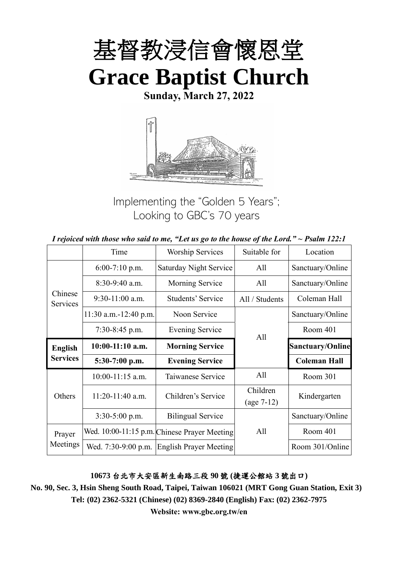

**Sunday, March 27, 2022**



Implementing the "Golden 5 Years"; Looking to GBC's 70 years

| I rejoiced with those who said to me, "Let us go to the house of the Lord." $\sim$ Psalm 122:1 |  |  |
|------------------------------------------------------------------------------------------------|--|--|
|------------------------------------------------------------------------------------------------|--|--|

|                     | Time                    | <b>Worship Services</b><br>Suitable for      |                          | Location                |
|---------------------|-------------------------|----------------------------------------------|--------------------------|-------------------------|
|                     | $6:00-7:10$ p.m.        | <b>Saturday Night Service</b>                | All                      | Sanctuary/Online        |
|                     | 8:30-9:40 a.m.          | Morning Service                              | All                      | Sanctuary/Online        |
| Chinese<br>Services | $9:30-11:00$ a.m.       | Students' Service                            | All / Students           | Coleman Hall            |
|                     | $11:30$ a.m.-12:40 p.m. | Noon Service                                 |                          | Sanctuary/Online        |
|                     | $7:30-8:45$ p.m.        | <b>Evening Service</b>                       | All                      | Room 401                |
| <b>English</b>      | $10:00-11:10$ a.m.      | <b>Morning Service</b>                       |                          | <b>Sanctuary/Online</b> |
| <b>Services</b>     | 5:30-7:00 p.m.          | <b>Evening Service</b>                       |                          | <b>Coleman Hall</b>     |
|                     | $10:00-11:15$ a.m.      | Taiwanese Service                            | All                      | Room 301                |
| Others              | 11:20-11:40 a.m.        | Children's Service                           | Children<br>$(age 7-12)$ | Kindergarten            |
|                     | 3:30-5:00 p.m.          | <b>Bilingual Service</b>                     |                          | Sanctuary/Online        |
| Prayer              |                         | Wed. 10:00-11:15 p.m. Chinese Prayer Meeting | All                      | Room 401                |
| Meetings            | Wed. 7:30-9:00 p.m.     | <b>English Prayer Meeting</b>                |                          | Room 301/Online         |

#### **10673** 台北市大安區新生南路三段 **90** 號 **(**捷運公館站 **3** 號出口**)**

**No. 90, Sec. 3, Hsin Sheng South Road, Taipei, Taiwan 106021 (MRT Gong Guan Station, Exit 3) Tel: (02) 2362-5321 (Chinese) (02) 8369-2840 (English) Fax: (02) 2362-7975**

**Website: www.gbc.org.tw/en**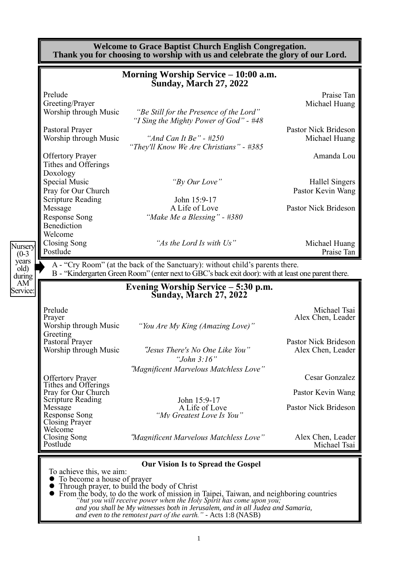|                                                              | <b>Welcome to Grace Baptist Church English Congregation.</b><br>Thank you for choosing to worship with us and celebrate the glory of our Lord.                                                               |                                            |  |  |  |
|--------------------------------------------------------------|--------------------------------------------------------------------------------------------------------------------------------------------------------------------------------------------------------------|--------------------------------------------|--|--|--|
|                                                              | Morning Worship Service - 10:00 a.m.<br><b>Sunday, March 27, 2022</b>                                                                                                                                        |                                            |  |  |  |
| Prelude                                                      |                                                                                                                                                                                                              | Praise Tan                                 |  |  |  |
| Greeting/Prayer                                              |                                                                                                                                                                                                              | Michael Huang                              |  |  |  |
| Worship through Music                                        | "Be Still for the Presence of the Lord"<br>"I Sing the Mighty Power of God" - #48                                                                                                                            |                                            |  |  |  |
| Pastoral Prayer                                              |                                                                                                                                                                                                              | <b>Pastor Nick Brideson</b>                |  |  |  |
| Worship through Music                                        | "And Can It Be" - $\#250$<br>"They'll Know We Are Christians" - #385                                                                                                                                         | Michael Huang                              |  |  |  |
| <b>Offertory Prayer</b><br>Tithes and Offerings              |                                                                                                                                                                                                              | Amanda Lou                                 |  |  |  |
| Doxology                                                     |                                                                                                                                                                                                              |                                            |  |  |  |
| Special Music<br>Pray for Our Church                         | "By Our Love"                                                                                                                                                                                                | <b>Hallel Singers</b><br>Pastor Kevin Wang |  |  |  |
| <b>Scripture Reading</b>                                     | John 15:9-17                                                                                                                                                                                                 |                                            |  |  |  |
| Message                                                      | A Life of Love                                                                                                                                                                                               | Pastor Nick Brideson                       |  |  |  |
| <b>Response Song</b><br>Benediction                          | "Make Me a Blessing" - #380                                                                                                                                                                                  |                                            |  |  |  |
| Welcome                                                      |                                                                                                                                                                                                              |                                            |  |  |  |
| Closing Song<br>Nursery<br>Postlude<br>$(0-3)$               | "As the Lord Is with Us"                                                                                                                                                                                     | Michael Huang<br>Praise Tan                |  |  |  |
| AM<br>Service:                                               | Evening Worship Service – 5:30 p.m.<br><b>Sunday, March 27, 2022</b>                                                                                                                                         |                                            |  |  |  |
| Prelude                                                      |                                                                                                                                                                                                              | Michael Tsai                               |  |  |  |
| Prayer                                                       |                                                                                                                                                                                                              | Alex Chen, Leader                          |  |  |  |
| Worship through Music<br>Greeting                            | "You Are My King (Amazing Love)"                                                                                                                                                                             |                                            |  |  |  |
| Pastoral Prayer                                              |                                                                                                                                                                                                              | Pastor Nick Brideson                       |  |  |  |
| Worship through Music                                        | "Jesus There's No One Like You"<br>"John $3:16"$                                                                                                                                                             | Alex Chen, Leader                          |  |  |  |
| <b>Offertory Prayer</b>                                      | "Magnificent Marvelous Matchless Love"                                                                                                                                                                       | Cesar Gonzalez                             |  |  |  |
| Tithes and Offerings                                         |                                                                                                                                                                                                              |                                            |  |  |  |
| Pray for Our Church<br><b>Scripture Reading</b>              | John 15:9-17                                                                                                                                                                                                 | Pastor Kevin Wang                          |  |  |  |
| Message<br><b>Response Song</b>                              | A Life of Love<br>"Mv Greatest Love Is You"                                                                                                                                                                  | Pastor Nick Brideson                       |  |  |  |
| <b>Closing Prayer</b><br>Welcome<br>Closing Song<br>Postlude | "Magnificent Marvelous Matchless Love"                                                                                                                                                                       | Alex Chen, Leader<br>Michael Tsai          |  |  |  |
|                                                              |                                                                                                                                                                                                              |                                            |  |  |  |
|                                                              | <b>Our Vision Is to Spread the Gospel</b>                                                                                                                                                                    |                                            |  |  |  |
| To achieve this, we aim:                                     | To become a house of prayer                                                                                                                                                                                  |                                            |  |  |  |
|                                                              | Through prayer, to build the body of Christ<br>From the body, to do the work of mission in Taipei, Taiwan, and neighboring countries<br>"but you will receive nower when the Holy Spirit has come upon you." |                                            |  |  |  |

> *"but you will receive power when the Holy Spirit has come upon you; and you shall be My witnesses both in Jerusalem, and in all Judea and Samaria, and even to the remotest part of the earth." -* Acts 1:8 (NASB)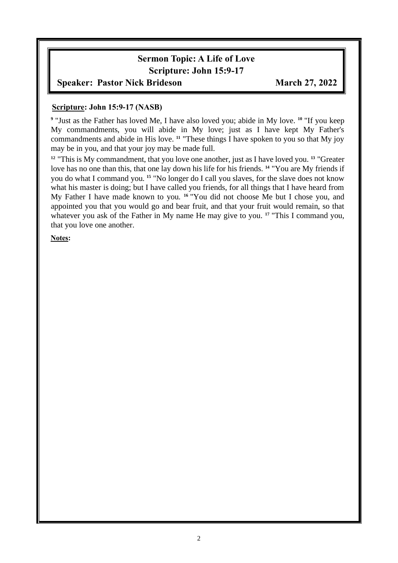# **Sermon Topic: A Life of Love Scripture: John 15:9-17**

### **Speaker: Pastor Nick Brideson March 27, 2022**

#### **Scripture: John 15:9-17 (NASB)**

**9** "Just as the Father has loved Me, I have also loved you; abide in My love. **<sup>10</sup>** "If you keep My commandments, you will abide in My love; just as I have kept My Father's commandments and abide in His love. <sup>11</sup> "These things I have spoken to you so that My joy may be in you, and that your joy may be made full.

**<sup>12</sup>** "This is My commandment, that you love one another, just as I have loved you. **<sup>13</sup>** "Greater love has no one than this, that one lay down his life for his friends. **<sup>14</sup>** "You are My friends if you do what I command you. **<sup>15</sup>** "No longer do I call you slaves, for the slave does not know what his master is doing; but I have called you friends, for all things that I have heard from My Father I have made known to you. **<sup>16</sup>** "You did not choose Me but I chose you, and appointed you that you would go and bear fruit, and that your fruit would remain, so that whatever you ask of the Father in My name He may give to you.<sup>17</sup> "This I command you, that you love one another.

**Notes:**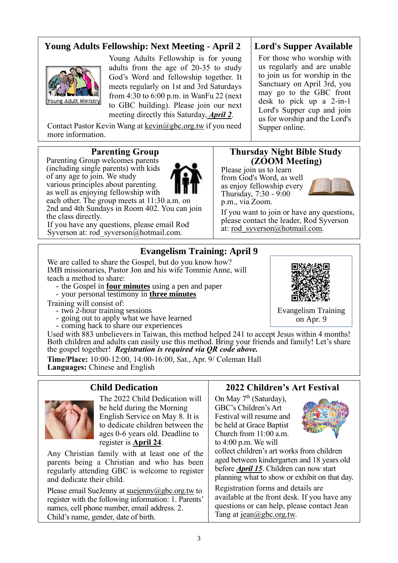### **Young Adults Fellowship: Next Meeting - April 2**



Young Adults Fellowship is for young adults from the age of 20-35 to study God's Word and fellowship together. It meets regularly on 1st and 3rd Saturdays from 4:30 to 6:00 p.m. in WanFu 22 (next to GBC building). Please join our next meeting directly this Saturday, *April 2*.

Contact Pastor Kevin Wang at kevin $(a)$ gbc.org.tw if you need more information.

#### **Parenting Group**

Parenting Group welcomes parents (including single parents) with kids of any age to join. We study various principles about parenting as well as enjoying fellowship with each other. The group meets at 11:30 a.m. on

2nd and 4th Sundays in Room 402. You can join the class directly. If you have any questions, please email Rod

Syverson at: [rod\\_syverson@hotmail.com.](mailto:rod_syverson@hotmail.com)

### **Lord's Supper Available**

For those who worship with us regularly and are unable to join us for worship in the Sanctuary on April 3rd, you may go to the GBC front desk to pick up a 2-in-1 Lord's Supper cup and join us for worship and the Lord's Supper online.

#### **Thursday Night Bible Study (ZOOM Meeting)**

Please join us to learn from God's Word, as well as enjoy fellowship every Thursday, 7:30 - 9:00 p.m., via Zoom.



If you want to join or have any questions, please contact the leader, Rod Syverson at: [rod\\_syverson@hotmail.com.](mailto:rod_syverson@hotmail.com)

### **Evangelism Training: April 9**

We are called to share the Gospel, but do you know how? IMB missionaries, Pastor Jon and his wife Tommie Anne, will teach a method to share:

- the Gospel in **four minutes** using a pen and paper - your personal testimony in **three minutes**
- 

Training will consist of:

- two 2-hour training sessions
- going out to apply what we have learned - going out to apply what we have coming back to share our experiences
- 

Used with 883 unbelievers in Taiwan, this method helped 241 to accept Jesus within 4 months! Both children and adults can easily use this method. Bring your friends and family! Let's share the gospel together! *Registration is required via QR code above.*

**Time/Place:** 10:00-12:00, 14:00-16:00, Sat., Apr. 9/ Coleman Hall **Languages:** Chinese and English

### **Child Dedication**



The 2022 Child Dedication will be held during the Morning English Service on May 8. It is to dedicate children between the ages 0-6 years old. Deadline to register is **April 24**.

Any Christian family with at least one of the parents being a Christian and who has been regularly attending GBC is welcome to register and dedicate their child.

Please email SueJenny at [suejenny@gbc.org.tw](mailto:suejenny@gbc.org.tw) to register with the following information: 1. Parents' names, cell phone number, email address. 2. Child's name, gender, date of birth.

### **2022 Children's Art Festival**

On May  $7<sup>th</sup>$  (Saturday), GBC's Children's Art Festival will resume and be held at Grace Baptist Church from 11:00 a.m. to 4:00 p.m. We will



collect children's art works from children aged between kindergarten and 18 years old before *April 15*. Children can now start planning what to show or exhibit on that day.

Registration forms and details are available at the front desk. If you have any questions or can help, please contact Jean Tang at [jean@gbc.org.tw.](mailto:jean@gbc.org.tw)



Evangelism Training on Apr. 9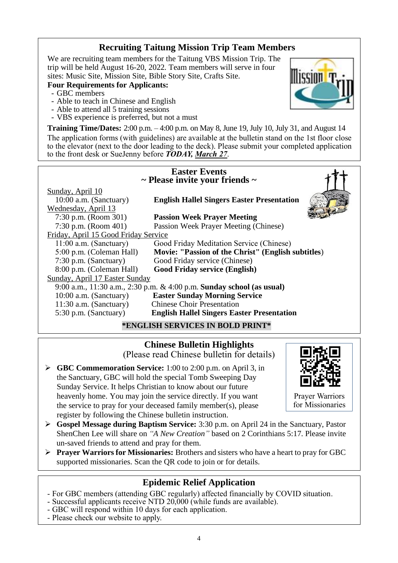### **Recruiting Taitung Mission Trip Team Members**

We are recruiting team members for the Taitung VBS Mission Trip. The trip will be held August 16-20, 2022. Team members will serve in four sites: Music Site, Mission Site, Bible Story Site, Crafts Site.

#### **Four Requirements for Applicants:**

- GBC members
- Able to teach in Chinese and English
- Able to attend all 5 training sessions
- VBS experience is preferred, but not a must

**Training Time/Dates:** 2:00 p.m. – 4:00 p.m. on May 8, June 19, July 10, July 31, and August 14 The application forms (with guidelines) are available at the bulletin stand on the 1st floor close to the elevator (next to the door leading to the deck). Please submit your completed application to the front desk or SueJenny before *TODAY, March 27*.

| <b>Easter Events</b><br>$\sim$ Please invite your friends $\sim$  |                                                                       |  |  |  |
|-------------------------------------------------------------------|-----------------------------------------------------------------------|--|--|--|
| Sunday, April 10<br>10:00 a.m. (Sanctuary)<br>Wednesday, April 13 | <b>English Hallel Singers Easter Presentation</b>                     |  |  |  |
| 7:30 p.m. (Room 301)                                              | <b>Passion Week Prayer Meeting</b>                                    |  |  |  |
| 7:30 p.m. (Room $401$ )                                           | Passion Week Prayer Meeting (Chinese)                                 |  |  |  |
| Friday, April 15 Good Friday Service                              |                                                                       |  |  |  |
| $11:00$ a.m. (Sanctuary)                                          | Good Friday Meditation Service (Chinese)                              |  |  |  |
| 5:00 p.m. (Coleman Hall)                                          | Movie: "Passion of the Christ" (English subtitles)                    |  |  |  |
| 7:30 p.m. (Sanctuary)                                             | Good Friday service (Chinese)                                         |  |  |  |
| 8:00 p.m. (Coleman Hall)                                          | <b>Good Friday service (English)</b>                                  |  |  |  |
| Sunday, April 17 Easter Sunday                                    |                                                                       |  |  |  |
|                                                                   | 9:00 a.m., 11:30 a.m., 2:30 p.m. & 4:00 p.m. Sunday school (as usual) |  |  |  |
| 10:00 a.m. (Sanctuary)                                            | <b>Easter Sunday Morning Service</b>                                  |  |  |  |
| $11:30$ a.m. (Sanctuary)                                          | <b>Chinese Choir Presentation</b>                                     |  |  |  |
| 5:30 p.m. (Sanctuary)                                             | <b>English Hallel Singers Easter Presentation</b>                     |  |  |  |
|                                                                   | 7.0777077077707077700                                                 |  |  |  |

**\*ENGLISH SERVICES IN BOLD PRINT\***

**Chinese Bulletin Highlights**  (Please read Chinese bulletin for details)

➢ **GBC Commemoration Service:** 1:00 to 2:00 p.m. on April 3, in the Sanctuary, GBC will hold the special Tomb Sweeping Day Sunday Service. It helps Christian to know about our future heavenly home. You may join the service directly. If you want the service to pray for your deceased family member(s), please register by following the Chinese bulletin instruction.



Prayer Warriors for Missionaries

- ➢ **Gospel Message during Baptism Service:** 3:30 p.m. on April 24 in the Sanctuary, Pastor ShenChen Lee will share on *"A New Creation"* based on 2 Corinthians 5:17. Please invite un-saved friends to attend and pray for them.
- ➢ **Prayer Warriors for Missionaries:** Brothers and sisters who have a heart to pray for GBC supported missionaries. Scan the QR code to join or for details.

### **Epidemic Relief Application**

- For GBC members (attending GBC regularly) affected financially by COVID situation.
- Successful applicants receive NTD 20,000 (while funds are available).
- GBC will respond within 10 days for each application.
- Please check our website to apply.

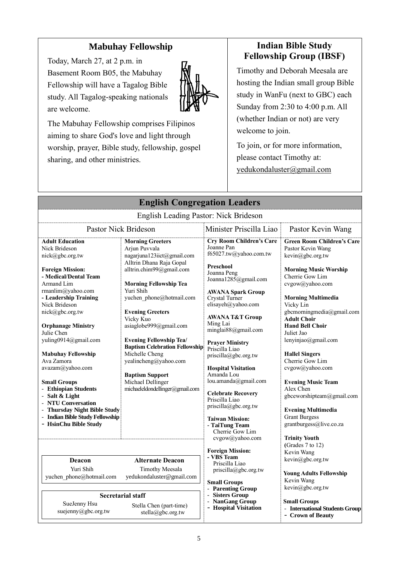# **Mabuhay Fellowship**

Today, March 27, at 2 p.m. in Basement Room B05, the Mabuhay Fellowship will have a Tagalog Bible study. All Tagalog-speaking nationals are welcome.



The Mabuhay Fellowship comprises Filipinos aiming to share God's love and light through worship, prayer, Bible study, fellowship, gospel sharing, and other ministries.

# **Indian Bible Study Fellowship Group (IBSF)**

Timothy and Deborah Meesala are hosting the Indian small group Bible study in WanFu (next to GBC) each Sunday from 2:30 to 4:00 p.m. All (whether Indian or not) are very welcome to join.

To join, or for more information, please contact Timothy at: yedukondaluster@gmail.com

| <b>English Congregation Leaders</b>                                                                                                                                                                                                                                                                                                                                                                                                                                                                                                 |                                                                                                                                                                                                                                                                                                                                                                                                                                                                                    |                                                                                                                                                                                                                                                                                                                                                                                                                                                                                                                                                                   |                                                                                                                                                                                                                                                                                                                                                                                                                                                                                                                                                                                |  |
|-------------------------------------------------------------------------------------------------------------------------------------------------------------------------------------------------------------------------------------------------------------------------------------------------------------------------------------------------------------------------------------------------------------------------------------------------------------------------------------------------------------------------------------|------------------------------------------------------------------------------------------------------------------------------------------------------------------------------------------------------------------------------------------------------------------------------------------------------------------------------------------------------------------------------------------------------------------------------------------------------------------------------------|-------------------------------------------------------------------------------------------------------------------------------------------------------------------------------------------------------------------------------------------------------------------------------------------------------------------------------------------------------------------------------------------------------------------------------------------------------------------------------------------------------------------------------------------------------------------|--------------------------------------------------------------------------------------------------------------------------------------------------------------------------------------------------------------------------------------------------------------------------------------------------------------------------------------------------------------------------------------------------------------------------------------------------------------------------------------------------------------------------------------------------------------------------------|--|
|                                                                                                                                                                                                                                                                                                                                                                                                                                                                                                                                     | English Leading Pastor: Nick Brideson                                                                                                                                                                                                                                                                                                                                                                                                                                              |                                                                                                                                                                                                                                                                                                                                                                                                                                                                                                                                                                   |                                                                                                                                                                                                                                                                                                                                                                                                                                                                                                                                                                                |  |
|                                                                                                                                                                                                                                                                                                                                                                                                                                                                                                                                     | <b>Pastor Nick Brideson</b>                                                                                                                                                                                                                                                                                                                                                                                                                                                        | Minister Priscilla Liao                                                                                                                                                                                                                                                                                                                                                                                                                                                                                                                                           | Pastor Kevin Wang                                                                                                                                                                                                                                                                                                                                                                                                                                                                                                                                                              |  |
| <b>Adult Education</b><br>Nick Brideson<br>nick@gbc.org.tw<br><b>Foreign Mission:</b><br>- Medical/Dental Team<br>Armand Lim<br>rmanlim@yahoo.com<br>- Leadership Training<br>Nick Brideson<br>nick@gbc.org.tw<br><b>Orphanage Ministry</b><br>Julie Chen<br>yuling0914@gmail.com<br><b>Mabuhay Fellowship</b><br>Ava Zamora<br>avazam@yahoo.com<br><b>Small Groups</b><br>- Ethiopian Students<br>- Salt & Light<br>- NTU Conversation<br>- Thursday Night Bible Study<br>- Indian Bible Study Fellowship<br>- HsinChu Bible Study | <b>Morning Greeters</b><br>Arjun Puvvala<br>nagarjuna123iict@gmail.com<br>Alltrin Dhana Raja Gopal<br>alltrin.chim99@gmail.com<br><b>Morning Fellowship Tea</b><br>Yuri Shih<br>yuchen phone@hotmail.com<br><b>Evening Greeters</b><br>Vicky Kuo<br>asiaglobe999@gmail.com<br><b>Evening Fellowship Tea/</b><br><b>Baptism Celebration Fellowship</b><br>Michelle Cheng<br>yealincheng@yahoo.com<br><b>Baptism Support</b><br>Michael Dellinger<br>michaeleldondellinger@gmail.com | <b>Cry Room Children's Care</b><br>Joanne Pan<br>f65027.tw@yahoo.com.tw<br>Preschool<br>Joanna Peng<br>Joanna1285@gmail.com<br><b>AWANA Spark Group</b><br>Crystal Turner<br>elisayeh@yahoo.com<br><b>AWANA T&amp;T Group</b><br>Ming Lai<br>minglai88@gmail.com<br><b>Prayer Ministry</b><br>Priscilla Liao<br>priscilla@gbc.org.tw<br><b>Hospital Visitation</b><br>Amanda Lou<br>lou.amanda@gmail.com<br><b>Celebrate Recovery</b><br>Priscilla Liao<br>priscilla@gbc.org.tw<br><b>Taiwan Mission:</b><br>- TaiTung Team<br>Cherrie Gow Lim<br>cvgow@yahoo.com | <b>Green Room Children's Care</b><br>Pastor Kevin Wang<br>kevin@gbc.org.tw<br><b>Morning Music Worship</b><br>Cherrie Gow Lim<br>cvgow@yahoo.com<br><b>Morning Multimedia</b><br>Vicky Lin<br>gbcmorningmedia@gmail.com<br><b>Adult Choir</b><br><b>Hand Bell Choir</b><br>Juliet Jao<br>lenyinjao@gmail.com<br><b>Hallel Singers</b><br>Cherrie Gow Lim<br>cvgow@yahoo.com<br><b>Evening Music Team</b><br>Alex Chen<br>gbceworshipteam@gmail.com<br><b>Evening Multimedia</b><br><b>Grant Burgess</b><br>grantburgess@live.co.za<br><b>Trinity Youth</b><br>(Grades 7 to 12) |  |
| Deacon<br>Yuri Shih<br>yuchen phone@hotmail.com                                                                                                                                                                                                                                                                                                                                                                                                                                                                                     | <b>Alternate Deacon</b><br><b>Timothy Meesala</b><br>yedukondaluster@gmail.com                                                                                                                                                                                                                                                                                                                                                                                                     | <b>Foreign Mission:</b><br>- VBS Team<br>Priscilla Liao<br>priscilla@gbc.org.tw<br><b>Small Groups</b>                                                                                                                                                                                                                                                                                                                                                                                                                                                            | Kevin Wang<br>kevin@gbc.org.tw<br><b>Young Adults Fellowship</b><br>Kevin Wang                                                                                                                                                                                                                                                                                                                                                                                                                                                                                                 |  |
| SueJenny Hsu<br>suejenny@gbc.org.tw                                                                                                                                                                                                                                                                                                                                                                                                                                                                                                 | <b>Secretarial staff</b><br>Stella Chen (part-time)<br>stella@gbc.org.tw                                                                                                                                                                                                                                                                                                                                                                                                           | Parenting Group<br><b>Sisters Group</b><br><b>NanGang Group</b><br>$\overline{\phantom{a}}$<br>- Hospital Visitation                                                                                                                                                                                                                                                                                                                                                                                                                                              | kevin@gbc.org.tw<br><b>Small Groups</b><br>- International Students Group<br>- Crown of Beauty                                                                                                                                                                                                                                                                                                                                                                                                                                                                                 |  |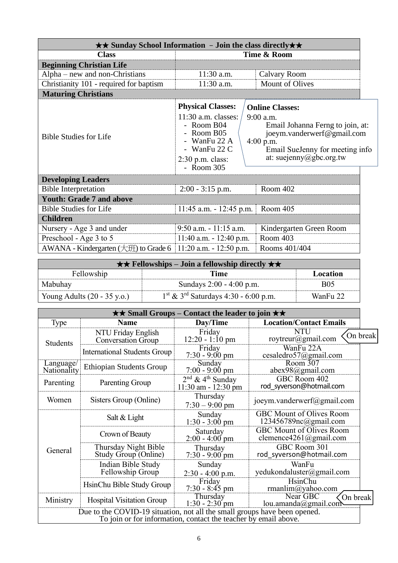| $\star\star$ Sunday School Information - Join the class directly $\star\star$ |                                                                                                                                                       |  |                                                                                                                                                                                      |  |
|-------------------------------------------------------------------------------|-------------------------------------------------------------------------------------------------------------------------------------------------------|--|--------------------------------------------------------------------------------------------------------------------------------------------------------------------------------------|--|
| <b>Class</b>                                                                  | Time & Room                                                                                                                                           |  |                                                                                                                                                                                      |  |
| <b>Beginning Christian Life</b>                                               |                                                                                                                                                       |  |                                                                                                                                                                                      |  |
| Alpha – new and non-Christians                                                | 11:30 a.m.                                                                                                                                            |  | Calvary Room                                                                                                                                                                         |  |
| Christianity 101 - required for baptism                                       | 11:30 a.m.                                                                                                                                            |  | Mount of Olives                                                                                                                                                                      |  |
| <b>Maturing Christians</b>                                                    |                                                                                                                                                       |  |                                                                                                                                                                                      |  |
| <b>Bible Studies for Life</b>                                                 | <b>Physical Classes:</b><br>$11:30$ a.m. classes:<br>- Room $B04$<br>- Room B05<br>- WanFu 22 A<br>- WanFu $22 C$<br>$2:30$ p.m. class:<br>- Room 305 |  | <b>Online Classes:</b><br>$9:00$ a.m.<br>Email Johanna Ferng to join, at:<br>joeym.vanderwerf@gmail.com<br>$4:00$ p.m.<br>Email SueJenny for meeting info<br>at: suejenny@gbc.org.tw |  |
| <b>Developing Leaders</b>                                                     |                                                                                                                                                       |  |                                                                                                                                                                                      |  |
| <b>Bible Interpretation</b>                                                   | $2:00 - 3:15$ p.m.                                                                                                                                    |  | Room 402                                                                                                                                                                             |  |
| <b>Youth: Grade 7 and above</b>                                               |                                                                                                                                                       |  |                                                                                                                                                                                      |  |
| <b>Bible Studies for Life</b>                                                 | $11:45$ a.m. $-12:45$ p.m.                                                                                                                            |  | Room 405                                                                                                                                                                             |  |
| <b>Children</b>                                                               |                                                                                                                                                       |  |                                                                                                                                                                                      |  |
| Nursery - Age 3 and under                                                     | $9:50$ a.m. $-11:15$ a.m.                                                                                                                             |  | Kindergarten Green Room                                                                                                                                                              |  |
| Preschool - Age 3 to 5                                                        | $11:40$ a.m. $-12:40$ p.m.                                                                                                                            |  | Room 403                                                                                                                                                                             |  |
| AWANA - Kindergarten $(\pm 1)$ to Grade 6                                     | $11:20$ a.m. $-12:50$ p.m.<br>Rooms 401/404                                                                                                           |  |                                                                                                                                                                                      |  |

| $\star \star$ Fellowships – Join a fellowship directly $\star \star$ |                                                    |            |  |
|----------------------------------------------------------------------|----------------------------------------------------|------------|--|
| Fellowship                                                           | Time                                               | Location   |  |
| Mabuhay                                                              | Sundays 2:00 - 4:00 p.m.                           | <b>B05</b> |  |
| Young Adults $(20 - 35 \text{ y.o.})$                                | $1st$ & 3 <sup>rd</sup> Saturdays 4:30 - 6:00 p.m. | WanFu 22   |  |

| $\star\star$ Small Groups – Contact the leader to join $\star\star$       |                                                 |                                                                              |                                                                    |          |
|---------------------------------------------------------------------------|-------------------------------------------------|------------------------------------------------------------------------------|--------------------------------------------------------------------|----------|
| Type                                                                      | <b>Name</b>                                     | Day/Time                                                                     | <b>Location/Contact Emails</b>                                     |          |
| <b>Students</b>                                                           | NTU Friday English<br><b>Conversation Group</b> | Friday<br>$12:20 - 1:10 \text{ pm}$                                          | <b>NTU</b><br>roytreur@gmail.com                                   | On break |
|                                                                           | <b>International Students Group</b>             | Friday<br>$7:30 - 9:00 \text{ pm}$                                           | WanFu 22A<br>cesaledro57@gmail.com                                 |          |
| Language/<br>Nationality                                                  | <b>Ethiopian Students Group</b>                 | Sunday<br>$7:00 - 9:00$ pm                                                   | Room 307<br>abex98@gmail.com                                       |          |
| Parenting                                                                 | Parenting Group                                 | $2nd$ & 4 <sup>th</sup> Sunday<br>$11:30$ am - $12:30$ pm                    | GBC Room 402<br>rod syverson@hotmail.com                           |          |
| Women                                                                     | Sisters Group (Online)                          | Thursday<br>$7:30 - 9:00$ pm                                                 | joeym.vanderwerf@gmail.com                                         |          |
|                                                                           | Salt & Light                                    | Sunday<br>$1:30 - 3:00$ pm                                                   | <b>GBC Mount of Olives Room</b><br>$123456789nc(\omega)$ gmail.com |          |
| Saturday<br>Crown of Beauty<br>$2:00 - 4:00$ pm                           |                                                 | GBC Mount of Olives Room<br>clemence4261@gmail.com                           |                                                                    |          |
| Thursday Night Bible<br>General<br>Study Group (Online)                   |                                                 | Thursday<br>$7:30 - 9:00$ pm                                                 | GBC Room 301<br>rod syverson@hotmail.com                           |          |
|                                                                           | Indian Bible Study<br>Fellowship Group          | Sunday<br>$2:30 - 4:00$ p.m.                                                 | WanFu<br>yedukondaluster@gmail.com                                 |          |
|                                                                           | HsinChu Bible Study Group                       | Friday<br>$7:30 - 8:45$ pm                                                   | HsinChu<br>rmanlim@yahoo.com                                       |          |
| Ministry                                                                  | <b>Hospital Visitation Group</b>                | Near GBC<br>Thursday<br>On break<br>$1:30 - 2:30$ pm<br>lou.amanda@gmail.com |                                                                    |          |
| Due to the COVID-19 situation, not all the small groups have been opened. |                                                 |                                                                              |                                                                    |          |
| To join or for information, contact the teacher by email above.           |                                                 |                                                                              |                                                                    |          |